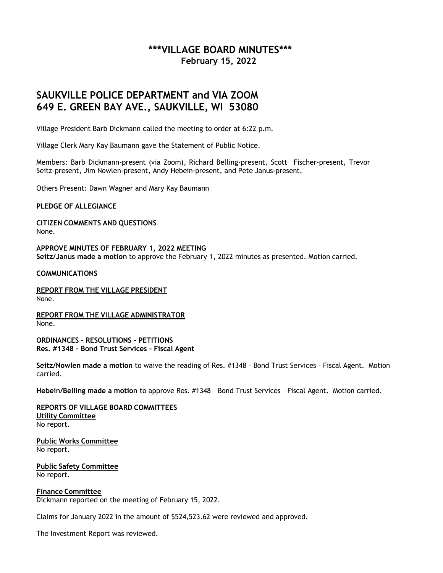# **\*\*\*VILLAGE BOARD MINUTES\*\*\* February 15, 2022**

# **SAUKVILLE POLICE DEPARTMENT and VIA ZOOM 649 E. GREEN BAY AVE., SAUKVILLE, WI 53080**

Village President Barb Dickmann called the meeting to order at 6:22 p.m.

Village Clerk Mary Kay Baumann gave the Statement of Public Notice.

Members: Barb Dickmann-present (via Zoom), Richard Belling-present, Scott Fischer-present, Trevor Seitz-present, Jim Nowlen-present, Andy Hebein-present, and Pete Janus-present.

Others Present: Dawn Wagner and Mary Kay Baumann

**PLEDGE OF ALLEGIANCE**

**CITIZEN COMMENTS AND QUESTIONS** None.

**APPROVE MINUTES OF FEBRUARY 1, 2022 MEETING Seitz/Janus made a motion** to approve the February 1, 2022 minutes as presented. Motion carried.

**COMMUNICATIONS**

**REPORT FROM THE VILLAGE PRESIDENT** None.

**REPORT FROM THE VILLAGE ADMINISTRATOR** None.

**ORDINANCES – RESOLUTIONS – PETITIONS Res. #1348 – Bond Trust Services – Fiscal Agent**

**Seitz/Nowlen made a motion** to waive the reading of Res. #1348 – Bond Trust Services – Fiscal Agent. Motion carried.

**Hebein/Belling made a motion** to approve Res. #1348 – Bond Trust Services – Fiscal Agent. Motion carried.

**REPORTS OF VILLAGE BOARD COMMITTEES Utility Committee** No report.

**Public Works Committee** No report.

**Public Safety Committee** No report.

**Finance Committee** Dickmann reported on the meeting of February 15, 2022.

Claims for January 2022 in the amount of \$524,523.62 were reviewed and approved.

The Investment Report was reviewed.